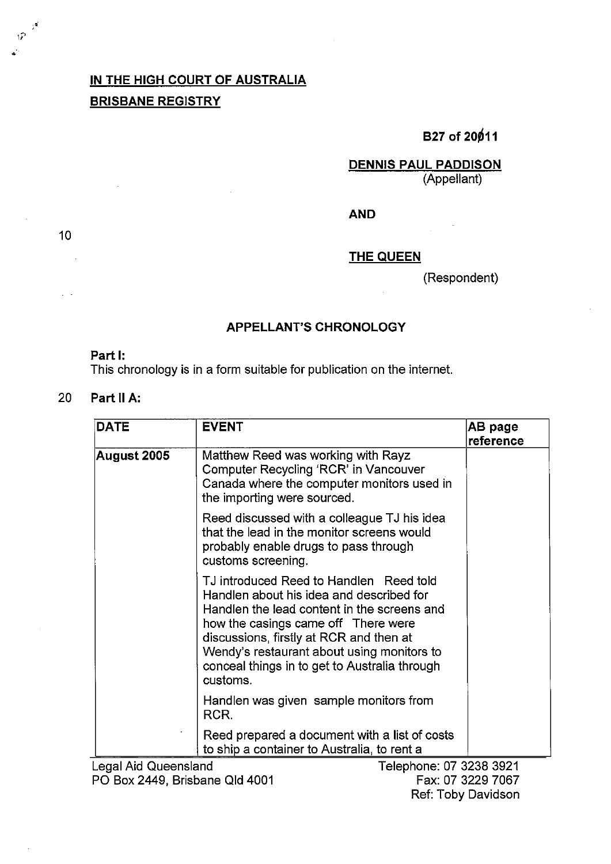## **IN THE HIGH COURT OF AUSTRALIA BRISBANE REGISTRY**

# **B27 of 20011**

**DENNIS PAUL PADDISON**  (Appellant)

**AND** 

**THE QUEEN** 

(Respondent)

### **APPELLANT'S CHRONOLOGY**

#### Part I:

This chronology is in a form suitable for publication on the internet.

### 20 **Part 11 A:**

| <b>DATE</b>  | <b>EVENT</b>                                                                                                                                                                                                                                                                                                                    | AB page<br>reference |
|--------------|---------------------------------------------------------------------------------------------------------------------------------------------------------------------------------------------------------------------------------------------------------------------------------------------------------------------------------|----------------------|
| August 2005∣ | Matthew Reed was working with Rayz<br>Computer Recycling 'RCR' in Vancouver<br>Canada where the computer monitors used in<br>the importing were sourced.                                                                                                                                                                        |                      |
|              | Reed discussed with a colleague TJ his idea<br>that the lead in the monitor screens would<br>probably enable drugs to pass through<br>customs screening.                                                                                                                                                                        |                      |
|              | TJ introduced Reed to Handlen Reed told<br>Handlen about his idea and described for<br>Handlen the lead content in the screens and<br>how the casings came off There were<br>discussions, firstly at RCR and then at<br>Wendy's restaurant about using monitors to<br>conceal things in to get to Australia through<br>customs. |                      |
|              | Handlen was given sample monitors from<br>RCR.                                                                                                                                                                                                                                                                                  |                      |
|              | Reed prepared a document with a list of costs<br>to ship a container to Australia, to rent a                                                                                                                                                                                                                                    |                      |

Legal Aid Queensland Telephone: **07** 3238 3921 PO Box 2449, Brisbane Qld 4001

Fax: 07 3229 7067 Ref: Toby Davidson

10

÷.

 $\hat{W}$  $\mathbf{r}$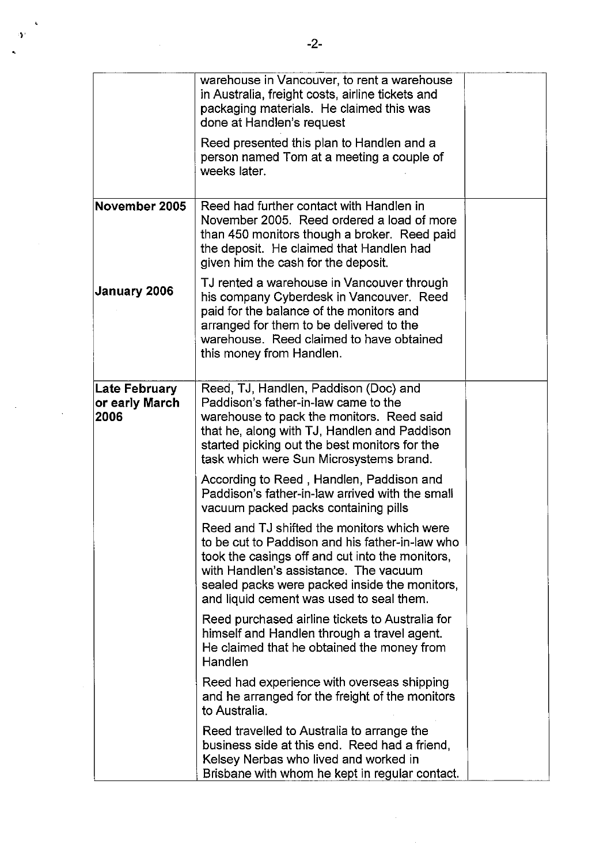|                                         | warehouse in Vancouver, to rent a warehouse<br>in Australia, freight costs, airline tickets and<br>packaging materials. He claimed this was<br>done at Handlen's request<br>Reed presented this plan to Handlen and a                                                                   |  |
|-----------------------------------------|-----------------------------------------------------------------------------------------------------------------------------------------------------------------------------------------------------------------------------------------------------------------------------------------|--|
|                                         | person named Tom at a meeting a couple of<br>weeks later.                                                                                                                                                                                                                               |  |
| November 2005                           | Reed had further contact with Handlen in<br>November 2005. Reed ordered a load of more<br>than 450 monitors though a broker. Reed paid<br>the deposit. He claimed that Handlen had<br>given him the cash for the deposit.                                                               |  |
| January 2006                            | TJ rented a warehouse in Vancouver through<br>his company Cyberdesk in Vancouver. Reed<br>paid for the balance of the monitors and<br>arranged for them to be delivered to the<br>warehouse. Reed claimed to have obtained<br>this money from Handlen.                                  |  |
| Late February<br>or early March<br>2006 | Reed, TJ, Handlen, Paddison (Doc) and<br>Paddison's father-in-law came to the<br>warehouse to pack the monitors. Reed said<br>that he, along with TJ, Handlen and Paddison<br>started picking out the best monitors for the<br>task which were Sun Microsystems brand.                  |  |
|                                         | According to Reed, Handlen, Paddison and<br>Paddison's father-in-law arrived with the small<br>vacuum packed packs containing pills                                                                                                                                                     |  |
|                                         | Reed and TJ shifted the monitors which were<br>to be cut to Paddison and his father-in-law who<br>took the casings off and cut into the monitors.<br>with Handlen's assistance. The vacuum<br>sealed packs were packed inside the monitors,<br>and liquid cement was used to seal them. |  |
|                                         | Reed purchased airline tickets to Australia for<br>himself and Handlen through a travel agent.<br>He claimed that he obtained the money from<br>Handlen                                                                                                                                 |  |
|                                         | Reed had experience with overseas shipping<br>and he arranged for the freight of the monitors<br>to Australia.                                                                                                                                                                          |  |
|                                         | Reed travelled to Australia to arrange the<br>business side at this end. Reed had a friend,<br>Kelsey Nerbas who lived and worked in<br>Brisbane with whom he kept in regular contact.                                                                                                  |  |

 $\frac{1}{2}$ 

 $\ddot{\phantom{a}}$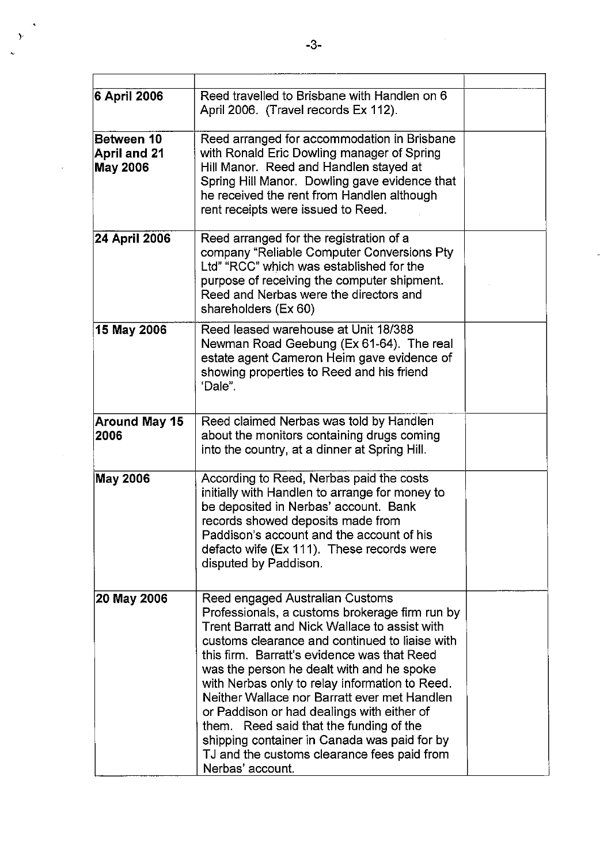| 6 April 2006                           | Reed travelled to Brisbane with Handlen on 6<br>April 2006. (Travel records Ex 112).                                                                                                                                                                                                                                                                                                                                                                                                                                                                                                           |  |
|----------------------------------------|------------------------------------------------------------------------------------------------------------------------------------------------------------------------------------------------------------------------------------------------------------------------------------------------------------------------------------------------------------------------------------------------------------------------------------------------------------------------------------------------------------------------------------------------------------------------------------------------|--|
| Between 10<br>April and 21<br>May 2006 | Reed arranged for accommodation in Brisbane<br>with Ronald Eric Dowling manager of Spring<br>Hill Manor. Reed and Handlen stayed at<br>Spring Hill Manor. Dowling gave evidence that<br>he received the rent from Handlen although<br>rent receipts were issued to Reed.                                                                                                                                                                                                                                                                                                                       |  |
| 24 April 2006                          | Reed arranged for the registration of a<br>company "Reliable Computer Conversions Pty<br>Ltd" "RCC" which was established for the<br>purpose of receiving the computer shipment.<br>Reed and Nerbas were the directors and<br>shareholders (Ex 60)                                                                                                                                                                                                                                                                                                                                             |  |
| 15 May 2006                            | Reed leased warehouse at Unit 18/388<br>Newman Road Geebung (Ex 61-64). The real<br>estate agent Cameron Heim gave evidence of<br>showing properties to Reed and his friend<br>'Dale".                                                                                                                                                                                                                                                                                                                                                                                                         |  |
| <b>Around May 15</b><br>2006           | Reed claimed Nerbas was told by Handlen<br>about the monitors containing drugs coming<br>into the country, at a dinner at Spring Hill.                                                                                                                                                                                                                                                                                                                                                                                                                                                         |  |
| May 2006                               | According to Reed, Nerbas paid the costs<br>initially with Handlen to arrange for money to<br>be deposited in Nerbas' account. Bank<br>records showed deposits made from<br>Paddison's account and the account of his<br>defacto wife (Ex 111). These records were<br>disputed by Paddison.                                                                                                                                                                                                                                                                                                    |  |
| 20 May 2006                            | Reed engaged Australian Customs<br>Professionals, a customs brokerage firm run by<br>Trent Barratt and Nick Wallace to assist with<br>customs clearance and continued to liaise with<br>this firm. Barratt's evidence was that Reed<br>was the person he dealt with and he spoke<br>with Nerbas only to relay information to Reed.<br>Neither Wallace nor Barratt ever met Handlen<br>or Paddison or had dealings with either of<br>them. Reed said that the funding of the<br>shipping container in Canada was paid for by<br>TJ and the customs clearance fees paid from<br>Nerbas' account. |  |

 $\ddot{\phantom{a}}$ 

۰,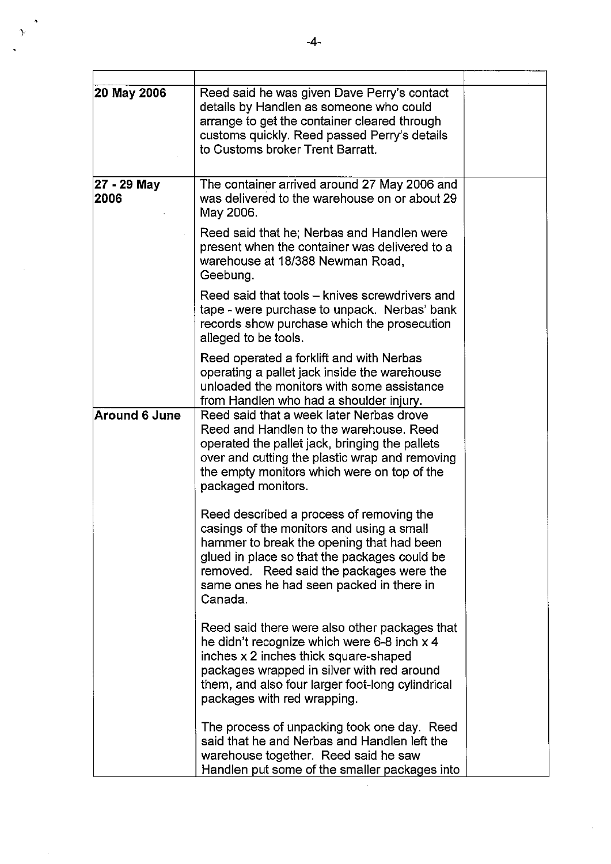| 20 May 2006         | Reed said he was given Dave Perry's contact<br>details by Handlen as someone who could<br>arrange to get the container cleared through<br>customs quickly. Reed passed Perry's details<br>to Customs broker Trent Barratt.                                                            |  |
|---------------------|---------------------------------------------------------------------------------------------------------------------------------------------------------------------------------------------------------------------------------------------------------------------------------------|--|
| 27 - 29 May<br>2006 | The container arrived around 27 May 2006 and<br>was delivered to the warehouse on or about 29<br>May 2006.                                                                                                                                                                            |  |
|                     | Reed said that he; Nerbas and Handlen were<br>present when the container was delivered to a<br>warehouse at 18/388 Newman Road,<br>Geebung.                                                                                                                                           |  |
|                     | Reed said that tools – knives screwdrivers and<br>tape - were purchase to unpack. Nerbas' bank<br>records show purchase which the prosecution<br>alleged to be tools.                                                                                                                 |  |
|                     | Reed operated a forklift and with Nerbas<br>operating a pallet jack inside the warehouse<br>unloaded the monitors with some assistance<br>from Handlen who had a shoulder injury.                                                                                                     |  |
| Around 6 June       | Reed said that a week later Nerbas drove<br>Reed and Handlen to the warehouse. Reed<br>operated the pallet jack, bringing the pallets<br>over and cutting the plastic wrap and removing<br>the empty monitors which were on top of the<br>packaged monitors.                          |  |
|                     | Reed described a process of removing the<br>casings of the monitors and using a small<br>hammer to break the opening that had been<br>glued in place so that the packages could be<br>removed. Reed said the packages were the<br>same ones he had seen packed in there in<br>Canada. |  |
|                     | Reed said there were also other packages that<br>he didn't recognize which were 6-8 inch x 4<br>inches x 2 inches thick square-shaped<br>packages wrapped in silver with red around<br>them, and also four larger foot-long cylindrical<br>packages with red wrapping.                |  |
|                     | The process of unpacking took one day. Reed<br>said that he and Nerbas and Handlen left the<br>warehouse together. Reed said he saw<br>Handlen put some of the smaller packages into                                                                                                  |  |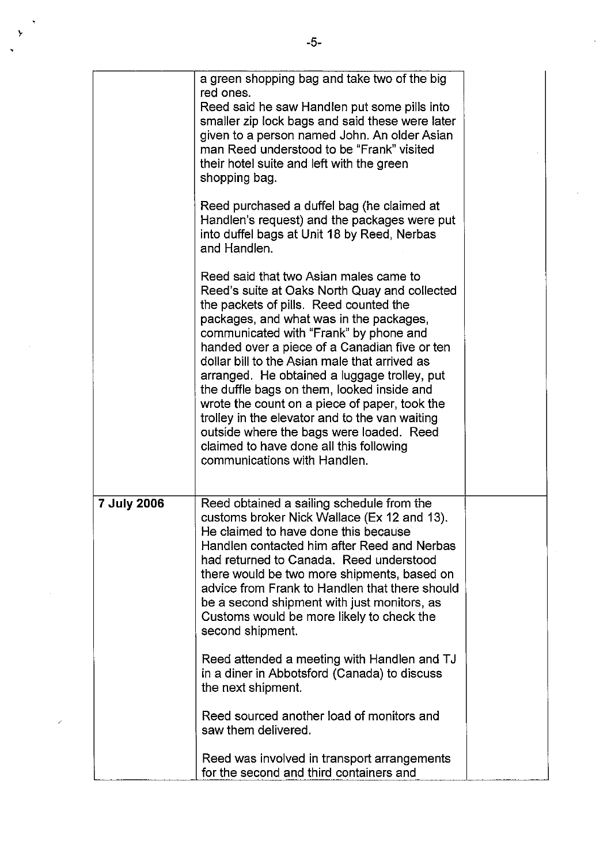|             | a green shopping bag and take two of the big<br>red ones.<br>Reed said he saw Handlen put some pills into<br>smaller zip lock bags and said these were later<br>given to a person named John. An older Asian<br>man Reed understood to be "Frank" visited<br>their hotel suite and left with the green<br>shopping bag.<br>Reed purchased a duffel bag (he claimed at<br>Handlen's request) and the packages were put<br>into duffel bags at Unit 18 by Reed, Nerbas<br>and Handlen.<br>Reed said that two Asian males came to<br>Reed's suite at Oaks North Quay and collected<br>the packets of pills. Reed counted the<br>packages, and what was in the packages,<br>communicated with "Frank" by phone and<br>handed over a piece of a Canadian five or ten<br>dollar bill to the Asian male that arrived as<br>arranged. He obtained a luggage trolley, put<br>the duffle bags on them, looked inside and<br>wrote the count on a piece of paper, took the<br>trolley in the elevator and to the van waiting<br>outside where the bags were loaded. Reed<br>claimed to have done all this following<br>communications with Handlen. |  |
|-------------|------------------------------------------------------------------------------------------------------------------------------------------------------------------------------------------------------------------------------------------------------------------------------------------------------------------------------------------------------------------------------------------------------------------------------------------------------------------------------------------------------------------------------------------------------------------------------------------------------------------------------------------------------------------------------------------------------------------------------------------------------------------------------------------------------------------------------------------------------------------------------------------------------------------------------------------------------------------------------------------------------------------------------------------------------------------------------------------------------------------------------------------|--|
| 7 July 2006 | Reed obtained a sailing schedule from the<br>customs broker Nick Wallace (Ex 12 and 13).<br>He claimed to have done this because<br>Handlen contacted him after Reed and Nerbas<br>had returned to Canada. Reed understood<br>there would be two more shipments, based on<br>advice from Frank to Handlen that there should<br>be a second shipment with just monitors, as<br>Customs would be more likely to check the<br>second shipment.<br>Reed attended a meeting with Handlen and TJ<br>in a diner in Abbotsford (Canada) to discuss<br>the next shipment.<br>Reed sourced another load of monitors and<br>saw them delivered.<br>Reed was involved in transport arrangements                                                                                                                                                                                                                                                                                                                                                                                                                                                      |  |
|             | for the second and third containers and                                                                                                                                                                                                                                                                                                                                                                                                                                                                                                                                                                                                                                                                                                                                                                                                                                                                                                                                                                                                                                                                                                  |  |

 $\mathcal{L}$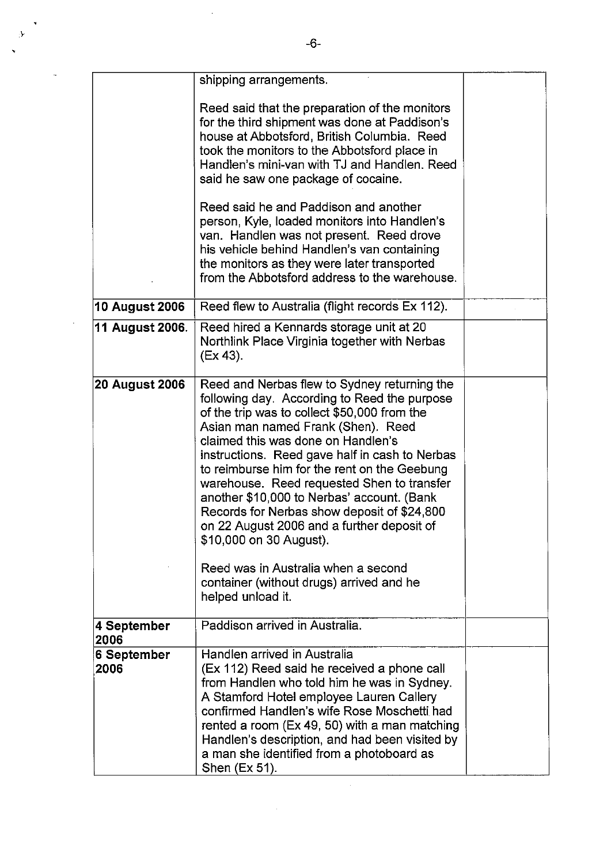|                       | shipping arrangements.                                                                                                                                                                                                                                                                                                                                                                                                                                                                                                                                                                                                                                 |  |
|-----------------------|--------------------------------------------------------------------------------------------------------------------------------------------------------------------------------------------------------------------------------------------------------------------------------------------------------------------------------------------------------------------------------------------------------------------------------------------------------------------------------------------------------------------------------------------------------------------------------------------------------------------------------------------------------|--|
|                       | Reed said that the preparation of the monitors<br>for the third shipment was done at Paddison's<br>house at Abbotsford, British Columbia. Reed<br>took the monitors to the Abbotsford place in<br>Handlen's mini-van with TJ and Handlen. Reed<br>said he saw one package of cocaine.                                                                                                                                                                                                                                                                                                                                                                  |  |
|                       | Reed said he and Paddison and another<br>person, Kyle, loaded monitors into Handlen's<br>van. Handlen was not present. Reed drove<br>his vehicle behind Handlen's van containing<br>the monitors as they were later transported<br>from the Abbotsford address to the warehouse.                                                                                                                                                                                                                                                                                                                                                                       |  |
| <b>10 August 2006</b> | Reed flew to Australia (flight records Ex 112).                                                                                                                                                                                                                                                                                                                                                                                                                                                                                                                                                                                                        |  |
| 11 August 2006.       | Reed hired a Kennards storage unit at 20<br>Northlink Place Virginia together with Nerbas<br>(Ex 43).                                                                                                                                                                                                                                                                                                                                                                                                                                                                                                                                                  |  |
| <b>20 August 2006</b> | Reed and Nerbas flew to Sydney returning the<br>following day. According to Reed the purpose<br>of the trip was to collect \$50,000 from the<br>Asian man named Frank (Shen). Reed<br>claimed this was done on Handlen's<br>instructions. Reed gave half in cash to Nerbas<br>to reimburse him for the rent on the Geebung<br>warehouse. Reed requested Shen to transfer<br>another \$10,000 to Nerbas' account. (Bank<br>Records for Nerbas show deposit of \$24,800<br>on 22 August 2006 and a further deposit of<br>\$10,000 on 30 August).<br>Reed was in Australia when a second<br>container (without drugs) arrived and he<br>helped unload it. |  |
| 4 September<br>2006   | Paddison arrived in Australia.                                                                                                                                                                                                                                                                                                                                                                                                                                                                                                                                                                                                                         |  |
| 6 September<br>2006   | Handlen arrived in Australia<br>(Ex 112) Reed said he received a phone call<br>from Handlen who told him he was in Sydney.<br>A Stamford Hotel employee Lauren Callery<br>confirmed Handlen's wife Rose Moschetti had<br>rented a room (Ex 49, 50) with a man matching<br>Handlen's description, and had been visited by<br>a man she identified from a photoboard as<br>Shen (Ex 51).                                                                                                                                                                                                                                                                 |  |

 $\sim$   $\sim$ 

 $\hat{\mathcal{A}}$ 

 $\hat{\boldsymbol{\beta}}$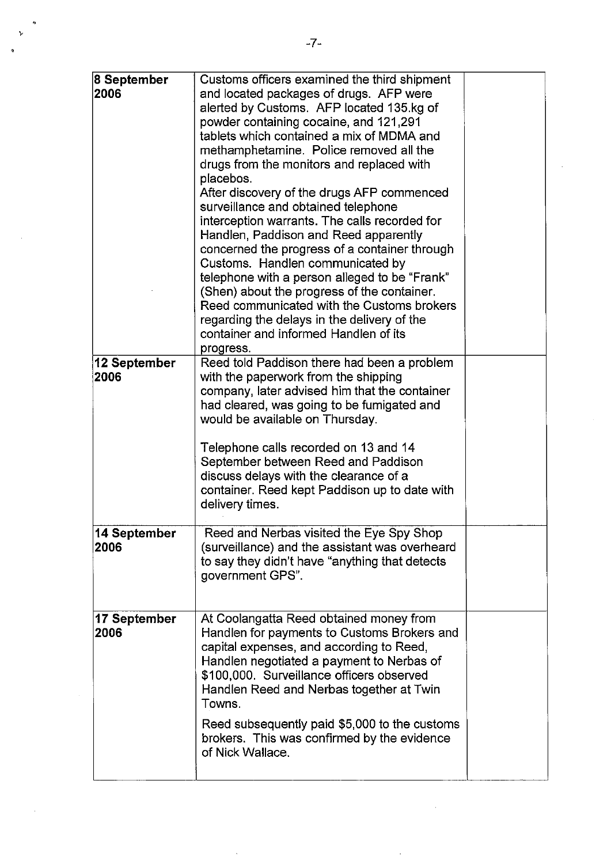| 8 September  | Customs officers examined the third shipment                                                 |  |
|--------------|----------------------------------------------------------------------------------------------|--|
| 2006         | and located packages of drugs. AFP were<br>alerted by Customs. AFP located 135.kg of         |  |
|              | powder containing cocaine, and 121,291                                                       |  |
|              | tablets which contained a mix of MDMA and                                                    |  |
|              | methamphetamine. Police removed all the                                                      |  |
|              | drugs from the monitors and replaced with                                                    |  |
|              | placebos.<br>After discovery of the drugs AFP commenced                                      |  |
|              | surveillance and obtained telephone                                                          |  |
|              | interception warrants. The calls recorded for                                                |  |
|              | Handlen, Paddison and Reed apparently                                                        |  |
|              | concerned the progress of a container through                                                |  |
|              | Customs. Handlen communicated by                                                             |  |
|              | telephone with a person alleged to be "Frank"<br>(Shen) about the progress of the container. |  |
|              | Reed communicated with the Customs brokers                                                   |  |
|              | regarding the delays in the delivery of the                                                  |  |
|              | container and informed Handlen of its                                                        |  |
|              | progress.                                                                                    |  |
| 12 September | Reed told Paddison there had been a problem                                                  |  |
| 2006         | with the paperwork from the shipping<br>company, later advised him that the container        |  |
|              | had cleared, was going to be fumigated and                                                   |  |
|              | would be available on Thursday.                                                              |  |
|              |                                                                                              |  |
|              | Telephone calls recorded on 13 and 14                                                        |  |
|              | September between Reed and Paddison                                                          |  |
|              | discuss delays with the clearance of a<br>container. Reed kept Paddison up to date with      |  |
|              | delivery times.                                                                              |  |
|              |                                                                                              |  |
| 14 September | Reed and Nerbas visited the Eye Spy Shop                                                     |  |
| 2006         | (surveillance) and the assistant was overheard                                               |  |
|              | to say they didn't have "anything that detects<br>government GPS".                           |  |
|              |                                                                                              |  |
|              |                                                                                              |  |
| 17 September | At Coolangatta Reed obtained money from                                                      |  |
| 2006         | Handlen for payments to Customs Brokers and                                                  |  |
|              | capital expenses, and according to Reed,                                                     |  |
|              | Handlen negotiated a payment to Nerbas of<br>\$100,000. Surveillance officers observed       |  |
|              | Handlen Reed and Nerbas together at Twin                                                     |  |
|              | Towns.                                                                                       |  |
|              | Reed subsequently paid \$5,000 to the customs                                                |  |
|              | brokers. This was confirmed by the evidence                                                  |  |
|              | of Nick Wallace.                                                                             |  |
|              |                                                                                              |  |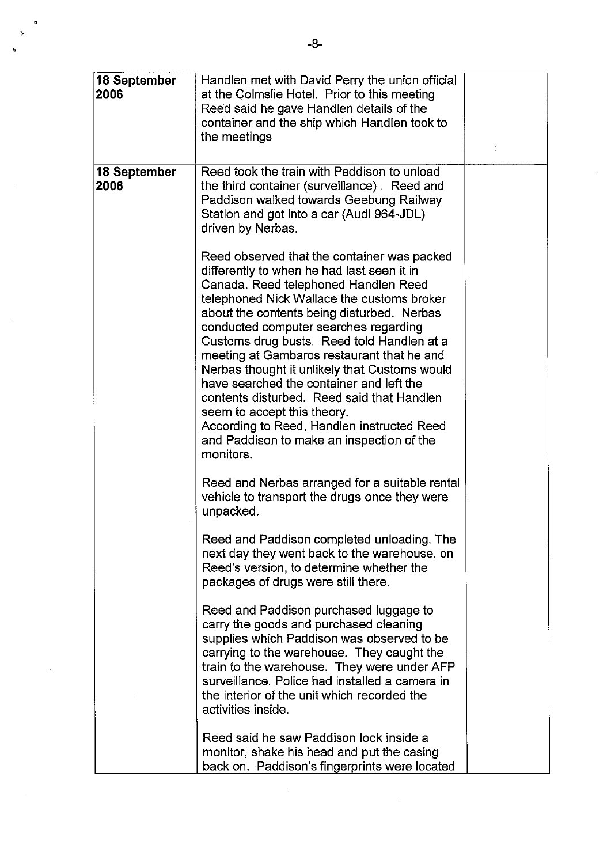| 18 September<br>2006 | Handlen met with David Perry the union official<br>at the Colmslie Hotel. Prior to this meeting<br>Reed said he gave Handlen details of the<br>container and the ship which Handlen took to<br>the meetings                                                                                                                                                                                                                                                                                                                                                                                                                                          |  |
|----------------------|------------------------------------------------------------------------------------------------------------------------------------------------------------------------------------------------------------------------------------------------------------------------------------------------------------------------------------------------------------------------------------------------------------------------------------------------------------------------------------------------------------------------------------------------------------------------------------------------------------------------------------------------------|--|
| 18 September<br>2006 | Reed took the train with Paddison to unload<br>the third container (surveillance). Reed and<br>Paddison walked towards Geebung Railway<br>Station and got into a car (Audi 964-JDL)<br>driven by Nerbas.                                                                                                                                                                                                                                                                                                                                                                                                                                             |  |
|                      | Reed observed that the container was packed<br>differently to when he had last seen it in<br>Canada. Reed telephoned Handlen Reed<br>telephoned Nick Wallace the customs broker<br>about the contents being disturbed. Nerbas<br>conducted computer searches regarding<br>Customs drug busts. Reed told Handlen at a<br>meeting at Gambaros restaurant that he and<br>Nerbas thought it unlikely that Customs would<br>have searched the container and left the<br>contents disturbed. Reed said that Handlen<br>seem to accept this theory.<br>According to Reed, Handlen instructed Reed<br>and Paddison to make an inspection of the<br>monitors. |  |
|                      | Reed and Nerbas arranged for a suitable rental<br>vehicle to transport the drugs once they were<br>unpacked.                                                                                                                                                                                                                                                                                                                                                                                                                                                                                                                                         |  |
|                      | Reed and Paddison completed unloading. The<br>next day they went back to the warehouse, on<br>Reed's version, to determine whether the<br>packages of drugs were still there.                                                                                                                                                                                                                                                                                                                                                                                                                                                                        |  |
|                      | Reed and Paddison purchased luggage to<br>carry the goods and purchased cleaning<br>supplies which Paddison was observed to be<br>carrying to the warehouse. They caught the<br>train to the warehouse. They were under AFP<br>surveillance. Police had installed a camera in<br>the interior of the unit which recorded the<br>activities inside.                                                                                                                                                                                                                                                                                                   |  |
|                      | Reed said he saw Paddison look inside a<br>monitor, shake his head and put the casing<br>back on. Paddison's fingerprints were located                                                                                                                                                                                                                                                                                                                                                                                                                                                                                                               |  |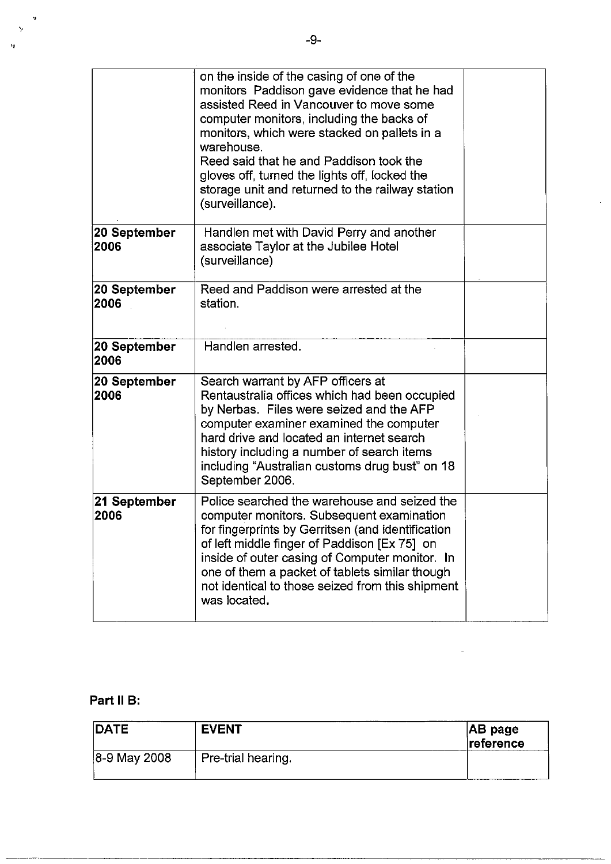|                      | on the inside of the casing of one of the<br>monitors Paddison gave evidence that he had<br>assisted Reed in Vancouver to move some<br>computer monitors, including the backs of<br>monitors, which were stacked on pallets in a<br>warehouse.<br>Reed said that he and Paddison took the<br>gloves off, turned the lights off, locked the<br>storage unit and returned to the railway station<br>(surveillance). |  |
|----------------------|-------------------------------------------------------------------------------------------------------------------------------------------------------------------------------------------------------------------------------------------------------------------------------------------------------------------------------------------------------------------------------------------------------------------|--|
| 20 September<br>2006 | Handlen met with David Perry and another<br>associate Taylor at the Jubilee Hotel<br>(surveillance)                                                                                                                                                                                                                                                                                                               |  |
| 20 September<br>2006 | Reed and Paddison were arrested at the<br>station.                                                                                                                                                                                                                                                                                                                                                                |  |
| 20 September<br>2006 | Handlen arrested.                                                                                                                                                                                                                                                                                                                                                                                                 |  |
| 20 September<br>2006 | Search warrant by AFP officers at<br>Rentaustralia offices which had been occupied<br>by Nerbas. Files were seized and the AFP<br>computer examiner examined the computer<br>hard drive and located an internet search<br>history including a number of search items<br>including "Australian customs drug bust" on 18<br>September 2006.                                                                         |  |
| 21 September<br>2006 | Police searched the warehouse and seized the<br>computer monitors. Subsequent examination<br>for fingerprints by Gerritsen (and identification<br>of left middle finger of Paddison [Ex 75] on<br>inside of outer casing of Computer monitor. In<br>one of them a packet of tablets similar though<br>not identical to those seized from this shipment<br>was located.                                            |  |

 $\ddot{\phantom{a}}$ 

## **Part 11 B:**

~--.--.--------

,

.<br>'ዛ

 $\bar{\gamma}$ 

| <b>DATE</b>  | <b>EVENT</b>       | $ AB\>page$<br>reference |
|--------------|--------------------|--------------------------|
| 8-9 May 2008 | Pre-trial hearing. |                          |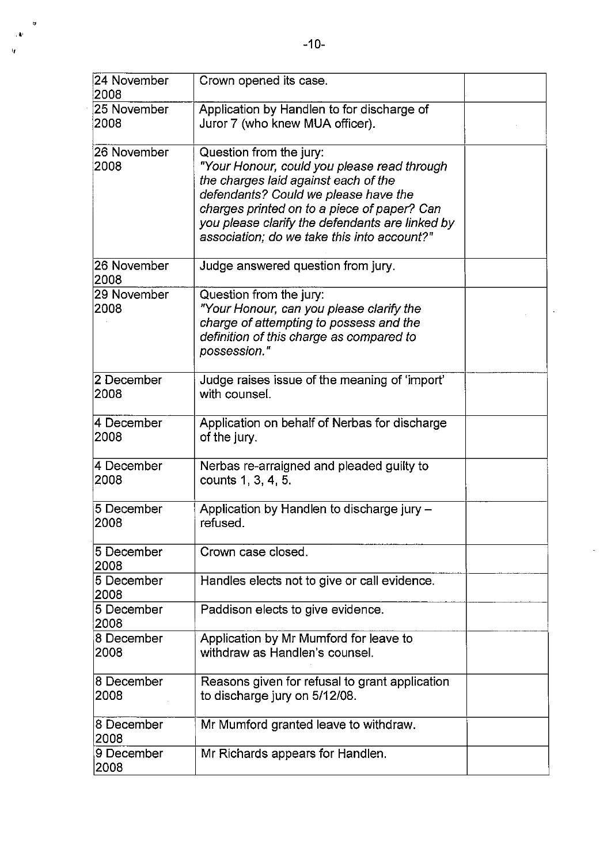| 24 November<br>2008 | Crown opened its case.                                                                                                                                                                                                                                                                                  |  |
|---------------------|---------------------------------------------------------------------------------------------------------------------------------------------------------------------------------------------------------------------------------------------------------------------------------------------------------|--|
| 25 November<br>2008 | Application by Handlen to for discharge of<br>Juror 7 (who knew MUA officer).                                                                                                                                                                                                                           |  |
| 26 November<br>2008 | Question from the jury:<br>"Your Honour, could you please read through<br>the charges laid against each of the<br>defendants? Could we please have the<br>charges printed on to a piece of paper? Can<br>you please clarify the defendants are linked by<br>association; do we take this into account?" |  |
| 26 November<br>2008 | Judge answered question from jury.                                                                                                                                                                                                                                                                      |  |
| 29 November<br>2008 | Question from the jury:<br>"Your Honour, can you please clarify the<br>charge of attempting to possess and the<br>definition of this charge as compared to<br>possession."                                                                                                                              |  |
| 2 December<br>2008  | Judge raises issue of the meaning of 'import'<br>with counsel.                                                                                                                                                                                                                                          |  |
| 4 December<br> 2008 | Application on behalf of Nerbas for discharge<br>of the jury.                                                                                                                                                                                                                                           |  |
| 4 December<br>2008  | Nerbas re-arraigned and pleaded guilty to<br>counts 1, 3, 4, 5.                                                                                                                                                                                                                                         |  |
| 5 December<br> 2008 | Application by Handlen to discharge jury -<br>refused.                                                                                                                                                                                                                                                  |  |
| 5 December<br>2008  | Crown case closed.                                                                                                                                                                                                                                                                                      |  |
| 5 December<br>2008  | Handles elects not to give or call evidence.                                                                                                                                                                                                                                                            |  |
| 5 December<br>2008  | Paddison elects to give evidence.                                                                                                                                                                                                                                                                       |  |
| 8 December<br>2008  | Application by Mr Mumford for leave to<br>withdraw as Handlen's counsel.                                                                                                                                                                                                                                |  |
| 8 December<br>2008  | Reasons given for refusal to grant application<br>to discharge jury on 5/12/08.                                                                                                                                                                                                                         |  |
| 8 December<br>2008  | Mr Mumford granted leave to withdraw.                                                                                                                                                                                                                                                                   |  |
| 9 December<br>2008  | Mr Richards appears for Handlen.                                                                                                                                                                                                                                                                        |  |

· "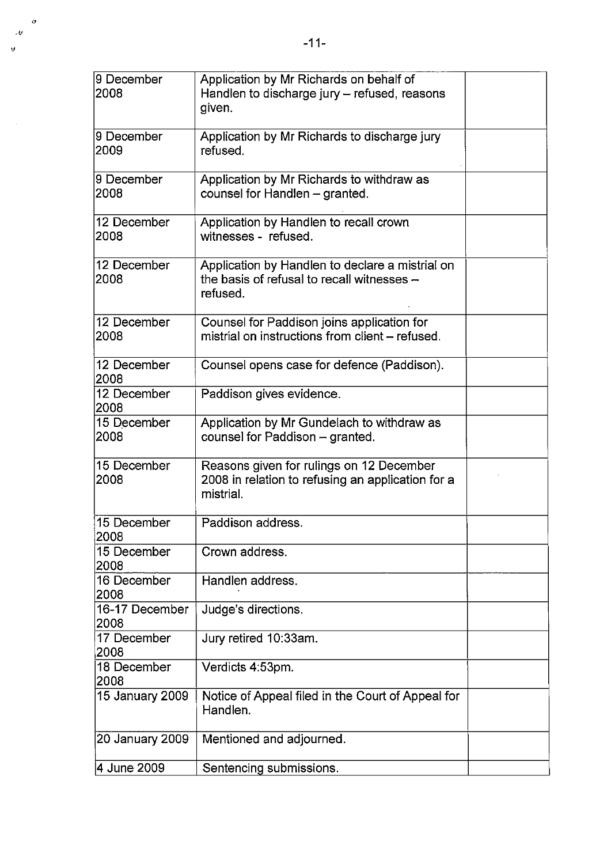| 9 December<br> 2008    | Application by Mr Richards on behalf of<br>Handlen to discharge jury - refused, reasons<br>given.          |  |
|------------------------|------------------------------------------------------------------------------------------------------------|--|
| l9 December<br> 2009   | Application by Mr Richards to discharge jury<br>refused.                                                   |  |
| 9 December<br>2008     | Application by Mr Richards to withdraw as<br>counsel for Handlen - granted.                                |  |
| 12 December<br>2008    | Application by Handlen to recall crown<br>witnesses - refused.                                             |  |
| 12 December<br>2008    | Application by Handlen to declare a mistrial on<br>the basis of refusal to recall witnesses -<br>refused.  |  |
| 12 December<br>2008    | Counsel for Paddison joins application for<br>mistrial on instructions from client - refused.              |  |
| 12 December<br>2008    | Counsel opens case for defence (Paddison).                                                                 |  |
| 12 December<br>2008    | Paddison gives evidence.                                                                                   |  |
| 15 December<br>2008    | Application by Mr Gundelach to withdraw as<br>counsel for Paddison - granted.                              |  |
| 15 December<br>2008    | Reasons given for rulings on 12 December<br>2008 in relation to refusing an application for a<br>mistrial. |  |
| 15 December<br>2008    | Paddison address.                                                                                          |  |
| 15 December<br>2008    | Crown address.                                                                                             |  |
| 16 December<br>2008    | Handlen address.                                                                                           |  |
| 16-17 December<br>2008 | Judge's directions.                                                                                        |  |
| 17 December<br>2008    | Jury retired 10:33am.                                                                                      |  |
| 18 December<br>2008    | Verdicts 4:53pm.                                                                                           |  |
| 15 January 2009        | Notice of Appeal filed in the Court of Appeal for<br>Handlen.                                              |  |
| 20 January 2009        | Mentioned and adjourned.                                                                                   |  |

4 June 2009 Sentencing submissions.

 $\alpha$  $\overline{\mathcal{L}}$  $\mathbf{v}$